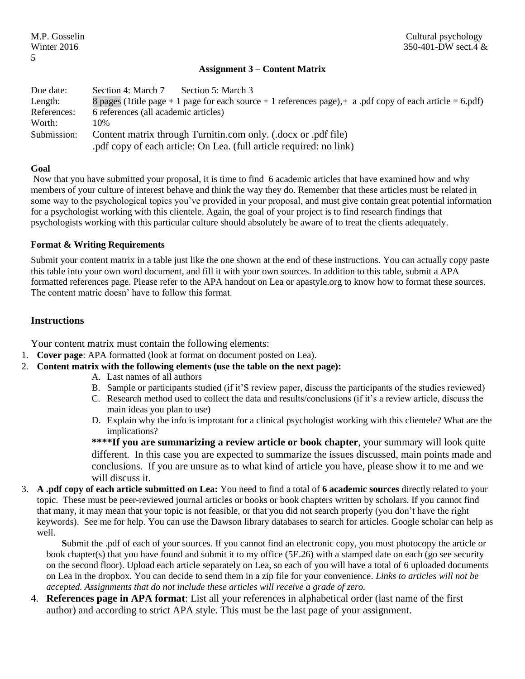## **Assignment 3 – Content Matrix**

| Due date:   | Section 4: March 7<br>Section 5: March 3                                                                   |  |  |  |  |  |
|-------------|------------------------------------------------------------------------------------------------------------|--|--|--|--|--|
| Length:     | 8 pages (1 title page + 1 page for each source + 1 references page), + a pdf copy of each article = 6.pdf) |  |  |  |  |  |
| References: | 6 references (all academic articles)                                                                       |  |  |  |  |  |
| Worth:      | 10%                                                                                                        |  |  |  |  |  |
| Submission: | Content matrix through Turnitin.com only. (.docx or .pdf file)                                             |  |  |  |  |  |
|             | .pdf copy of each article: On Lea. (full article required: no link)                                        |  |  |  |  |  |

#### **Goal**

Now that you have submitted your proposal, it is time to find 6 academic articles that have examined how and why members of your culture of interest behave and think the way they do. Remember that these articles must be related in some way to the psychological topics you've provided in your proposal, and must give contain great potential information for a psychologist working with this clientele. Again, the goal of your project is to find research findings that psychologists working with this particular culture should absolutely be aware of to treat the clients adequately.

#### **Format & Writing Requirements**

Submit your content matrix in a table just like the one shown at the end of these instructions. You can actually copy paste this table into your own word document, and fill it with your own sources. In addition to this table, submit a APA formatted references page. Please refer to the APA handout on Lea or apastyle.org to know how to format these sources. The content matric doesn' have to follow this format.

## **Instructions**

Your content matrix must contain the following elements:

- 1. **Cover page**: APA formatted (look at format on document posted on Lea).
- 2. **Content matrix with the following elements (use the table on the next page):**
	- A. Last names of all authors
	- B. Sample or participants studied (if it'S review paper, discuss the participants of the studies reviewed)
	- C. Research method used to collect the data and results/conclusions (if it's a review article, discuss the main ideas you plan to use)
	- D. Explain why the info is improtant for a clinical psychologist working with this clientele? What are the implications?

**\*\*\*\*If you are summarizing a review article or book chapter**, your summary will look quite different. In this case you are expected to summarize the issues discussed, main points made and conclusions. If you are unsure as to what kind of article you have, please show it to me and we will discuss it.

3. **A .pdf copy of each article submitted on Lea:** You need to find a total of **6 academic sources** directly related to your topic. These must be peer-reviewed journal articles or books or book chapters written by scholars. If you cannot find that many, it may mean that your topic is not feasible, or that you did not search properly (you don't have the right keywords). See me for help. You can use the Dawson library databases to search for articles. Google scholar can help as well.

**S**ubmit the .pdf of each of your sources. If you cannot find an electronic copy, you must photocopy the article or book chapter(s) that you have found and submit it to my office (5E.26) with a stamped date on each (go see security on the second floor). Upload each article separately on Lea, so each of you will have a total of 6 uploaded documents on Lea in the dropbox. You can decide to send them in a zip file for your convenience. *Links to articles will not be accepted. Assignments that do not include these articles will receive a grade of zero.*

4. **References page in APA format**: List all your references in alphabetical order (last name of the first author) and according to strict APA style. This must be the last page of your assignment.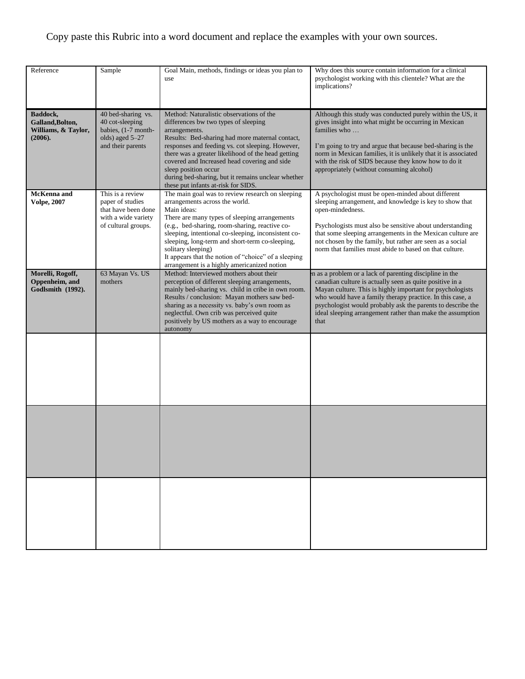# Copy paste this Rubric into a word document and replace the examples with your own sources.

| Reference                                                      | Sample                                                                                                    | Goal Main, methods, findings or ideas you plan to<br>use                                                                                                                                                                                                                                                                                                                                                                                    | Why does this source contain information for a clinical<br>psychologist working with this clientele? What are the<br>implications?                                                                                                                                                                                                                                                  |
|----------------------------------------------------------------|-----------------------------------------------------------------------------------------------------------|---------------------------------------------------------------------------------------------------------------------------------------------------------------------------------------------------------------------------------------------------------------------------------------------------------------------------------------------------------------------------------------------------------------------------------------------|-------------------------------------------------------------------------------------------------------------------------------------------------------------------------------------------------------------------------------------------------------------------------------------------------------------------------------------------------------------------------------------|
| Baddock,<br>Galland, Bolton,<br>Williams, & Taylor,<br>(2006). | 40 bed-sharing vs.<br>40 cot-sleeping<br>babies, (1-7 month-<br>olds) aged 5-27<br>and their parents      | Method: Naturalistic observations of the<br>differences bw two types of sleeping<br>arrangements.<br>Results: Bed-sharing had more maternal contact,<br>responses and feeding vs. cot sleeping. However,<br>there was a greater likelihood of the head getting<br>covered and Increased head covering and side<br>sleep position occur<br>during bed-sharing, but it remains unclear whether<br>these put infants at-risk for SIDS.         | Although this study was conducted purely within the US, it<br>gives insight into what might be occurring in Mexican<br>families who<br>I'm going to try and argue that because bed-sharing is the<br>norm in Mexican families, it is unlikely that it is associated<br>with the risk of SIDS because they know how to do it<br>appropriately (without consuming alcohol)            |
| McKenna and<br><b>Volpe, 2007</b>                              | This is a review<br>paper of studies<br>that have been done<br>with a wide variety<br>of cultural groups. | The main goal was to review research on sleeping<br>arrangements across the world.<br>Main ideas:<br>There are many types of sleeping arrangements<br>(e.g., bed-sharing, room-sharing, reactive co-<br>sleeping, intentional co-sleeping, inconsistent co-<br>sleeping, long-term and short-term co-sleeping,<br>solitary sleeping)<br>It appears that the notion of "choice" of a sleeping<br>arrangement is a highly americanized notion | A psychologist must be open-minded about different<br>sleeping arrangement, and knowledge is key to show that<br>open-mindedness.<br>Psychologists must also be sensitive about understanding<br>that some sleeping arrangements in the Mexican culture are<br>not chosen by the family, but rather are seen as a social<br>norm that families must abide to based on that culture. |
| Morelli, Rogoff,<br>Oppenheim, and<br>Godlsmith (1992).        | 63 Mayan Vs. US<br>mothers                                                                                | Method: Interviewed mothers about their<br>perception of different sleeping arrangements,<br>mainly bed-sharing vs. child in cribe in own room.<br>Results / conclusion: Mayan mothers saw bed-<br>sharing as a necessity vs. baby's own room as<br>neglectful. Own crib was perceived quite<br>positively by US mothers as a way to encourage<br>autonomy                                                                                  | n as a problem or a lack of parenting discipline in the<br>canadian culture is actually seen as quite positive in a<br>Mayan culture. This is highly important for psychologists<br>who would have a family therapy practice. In this case, a<br>psychologist would probably ask the parents to describe the<br>ideal sleeping arrangement rather than make the assumption<br>that  |
|                                                                |                                                                                                           |                                                                                                                                                                                                                                                                                                                                                                                                                                             |                                                                                                                                                                                                                                                                                                                                                                                     |
|                                                                |                                                                                                           |                                                                                                                                                                                                                                                                                                                                                                                                                                             |                                                                                                                                                                                                                                                                                                                                                                                     |
|                                                                |                                                                                                           |                                                                                                                                                                                                                                                                                                                                                                                                                                             |                                                                                                                                                                                                                                                                                                                                                                                     |